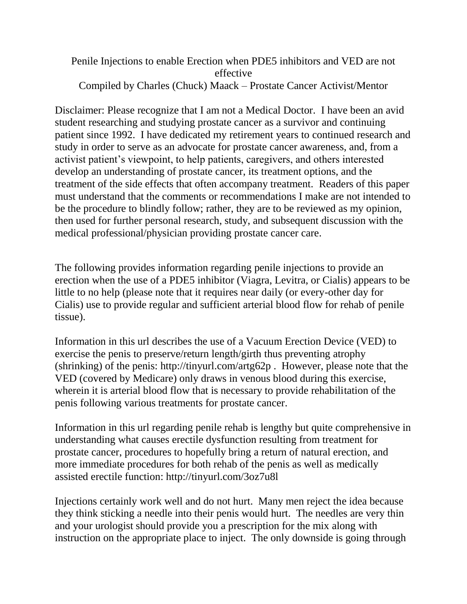## Penile Injections to enable Erection when PDE5 inhibitors and VED are not effective Compiled by Charles (Chuck) Maack – Prostate Cancer Activist/Mentor

Disclaimer: Please recognize that I am not a Medical Doctor. I have been an avid student researching and studying prostate cancer as a survivor and continuing patient since 1992. I have dedicated my retirement years to continued research and study in order to serve as an advocate for prostate cancer awareness, and, from a activist patient's viewpoint, to help patients, caregivers, and others interested develop an understanding of prostate cancer, its treatment options, and the treatment of the side effects that often accompany treatment. Readers of this paper must understand that the comments or recommendations I make are not intended to be the procedure to blindly follow; rather, they are to be reviewed as my opinion, then used for further personal research, study, and subsequent discussion with the medical professional/physician providing prostate cancer care.

The following provides information regarding penile injections to provide an erection when the use of a PDE5 inhibitor (Viagra, Levitra, or Cialis) appears to be little to no help (please note that it requires near daily (or every-other day for Cialis) use to provide regular and sufficient arterial blood flow for rehab of penile tissue).

Information in this url describes the use of a Vacuum Erection Device (VED) to exercise the penis to preserve/return length/girth thus preventing atrophy (shrinking) of the penis: http://tinyurl.com/artg62p . However, please note that the VED (covered by Medicare) only draws in venous blood during this exercise, wherein it is arterial blood flow that is necessary to provide rehabilitation of the penis following various treatments for prostate cancer.

Information in this url regarding penile rehab is lengthy but quite comprehensive in understanding what causes erectile dysfunction resulting from treatment for prostate cancer, procedures to hopefully bring a return of natural erection, and more immediate procedures for both rehab of the penis as well as medically assisted erectile function: http://tinyurl.com/3oz7u8l

Injections certainly work well and do not hurt. Many men reject the idea because they think sticking a needle into their penis would hurt. The needles are very thin and your urologist should provide you a prescription for the mix along with instruction on the appropriate place to inject. The only downside is going through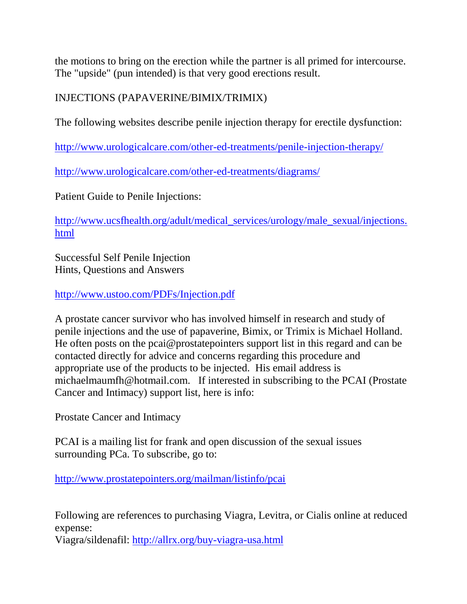the motions to bring on the erection while the partner is all primed for intercourse. The "upside" (pun intended) is that very good erections result.

## INJECTIONS (PAPAVERINE/BIMIX/TRIMIX)

The following websites describe penile injection therapy for erectile dysfunction:

<http://www.urologicalcare.com/other-ed-treatments/penile-injection-therapy/>

<http://www.urologicalcare.com/other-ed-treatments/diagrams/>

Patient Guide to Penile Injections:

[http://www.ucsfhealth.org/adult/medical\\_services/urology/male\\_sexual/injections.](http://www.ucsfhealth.org/adult/medical_services/urology/male_sexual/injections.html) [html](http://www.ucsfhealth.org/adult/medical_services/urology/male_sexual/injections.html)

Successful Self Penile Injection Hints, Questions and Answers

<http://www.ustoo.com/PDFs/Injection.pdf>

A prostate cancer survivor who has involved himself in research and study of penile injections and the use of papaverine, Bimix, or Trimix is Michael Holland. He often posts on the pcai@prostatepointers support list in this regard and can be contacted directly for advice and concerns regarding this procedure and appropriate use of the products to be injected. His email address is michaelmaumfh@hotmail.com. If interested in subscribing to the PCAI (Prostate Cancer and Intimacy) support list, here is info:

Prostate Cancer and Intimacy

PCAI is a mailing list for frank and open discussion of the sexual issues surrounding PCa. To subscribe, go to:

<http://www.prostatepointers.org/mailman/listinfo/pcai>

Following are references to purchasing Viagra, Levitra, or Cialis online at reduced expense:

Viagra/sildenafil:<http://allrx.org/buy-viagra-usa.html>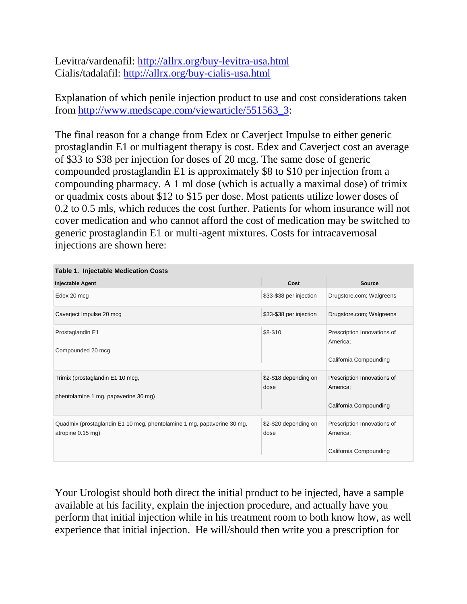Levitra/vardenafil:<http://allrx.org/buy-levitra-usa.html> Cialis/tadalafil:<http://allrx.org/buy-cialis-usa.html>

Explanation of which penile injection product to use and cost considerations taken from [http://www.medscape.com/viewarticle/551563\\_3:](http://www.medscape.com/viewarticle/551563_3)

The final reason for a change from Edex or Caverject Impulse to either generic prostaglandin E1 or multiagent therapy is cost. Edex and Caverject cost an average of \$33 to \$38 per injection for doses of 20 mcg. The same dose of generic compounded prostaglandin E1 is approximately \$8 to \$10 per injection from a compounding pharmacy. A 1 ml dose (which is actually a maximal dose) of trimix or quadmix costs about \$12 to \$15 per dose. Most patients utilize lower doses of 0.2 to 0.5 mls, which reduces the cost further. Patients for whom insurance will not cover medication and who cannot afford the cost of medication may be switched to generic prostaglandin E1 or multi-agent mixtures. Costs for intracavernosal injections are shown here:

| <b>Table 1. Injectable Medication Costs</b>                                                 |                               |                                                                   |
|---------------------------------------------------------------------------------------------|-------------------------------|-------------------------------------------------------------------|
| Injectable Agent                                                                            | Cost                          | <b>Source</b>                                                     |
| Edex 20 mcg                                                                                 | \$33-\$38 per injection       | Drugstore.com; Walgreens                                          |
| Caverject Impulse 20 mcg                                                                    | \$33-\$38 per injection       | Drugstore.com; Walgreens                                          |
| Prostaglandin E1<br>Compounded 20 mcg                                                       | \$8-\$10                      | Prescription Innovations of<br>America:<br>California Compounding |
| Trimix (prostaglandin E1 10 mcg,<br>phentolamine 1 mg, papaverine 30 mg)                    | \$2-\$18 depending on<br>dose | Prescription Innovations of<br>America;<br>California Compounding |
| Quadmix (prostaglandin E1 10 mcg, phentolamine 1 mg, papaverine 30 mg,<br>atropine 0.15 mg) | \$2-\$20 depending on<br>dose | Prescription Innovations of<br>America;<br>California Compounding |

Your Urologist should both direct the initial product to be injected, have a sample available at his facility, explain the injection procedure, and actually have you perform that initial injection while in his treatment room to both know how, as well experience that initial injection. He will/should then write you a prescription for